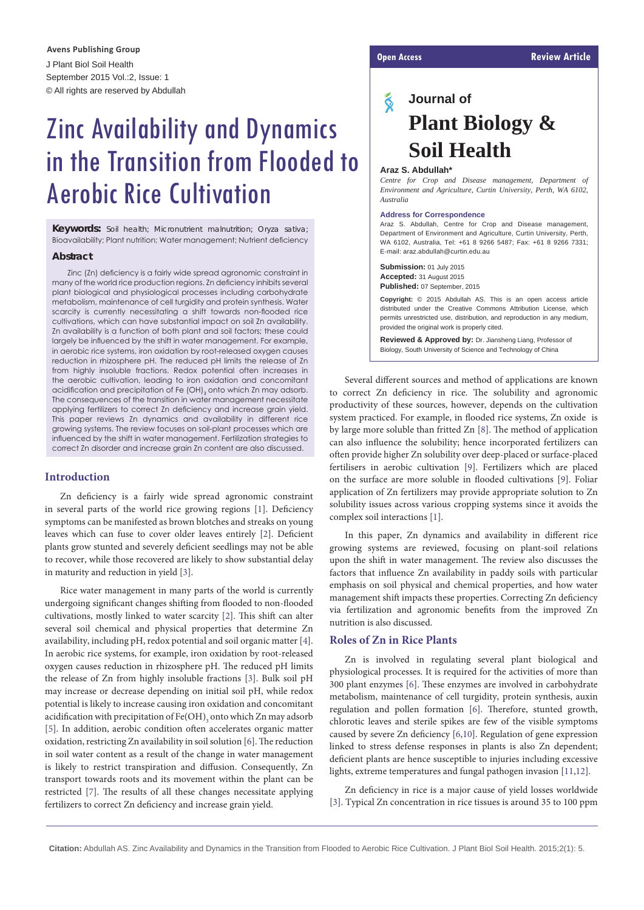J Plant Biol Soil Health September 2015 Vol.:2, Issue: 1 © All rights are reserved by Abdullah **Open Access Review Article Avens Publishing Group**

# Zinc Availability and Dynamics in the Transition from Flooded to Aerobic Rice Cultivation

**Keywords:** Soil health; Micronutrient malnutrition; Oryza sativa; Bioavailability; Plant nutrition; Water management; Nutrient deficiency

#### **Abstract**

Zinc (Zn) deficiency is a fairly wide spread agronomic constraint in many of the world rice production regions. Zn deficiency inhibits several plant biological and physiological processes including carbohydrate metabolism, maintenance of cell turgidity and protein synthesis. Water scarcity is currently necessitating a shift towards non-flooded rice cultivations, which can have substantial impact on soil Zn availability. Zn availability is a function of both plant and soil factors; these could largely be influenced by the shift in water management. For example, in aerobic rice systems, iron oxidation by root-released oxygen causes reduction in rhizosphere pH. The reduced pH limits the release of Zn from highly insoluble fractions. Redox potential often increases in the aerobic cultivation, leading to iron oxidation and concomitant acidification and precipitation of Fe (OH) $_{\text{3}}$  onto which Zn may adsorb. The consequences of the transition in water management necessitate applying fertilizers to correct Zn deficiency and increase grain yield. This paper reviews Zn dynamics and availability in different rice growing systems. The review focuses on soil-plant processes which are influenced by the shift in water management. Fertilization strategies to correct Zn disorder and increase grain Zn content are also discussed.

#### **Introduction**

Zn deficiency is a fairly wide spread agronomic constraint in several parts of the world rice growing regions [\[1](#page-3-0)]. Deficiency symptoms can be manifested as brown blotches and streaks on young leaves which can fuse to cover older leaves entirely [\[2\]](#page-3-1). Deficient plants grow stunted and severely deficient seedlings may not be able to recover, while those recovered are likely to show substantial delay in maturity and reduction in yield [\[3\]](#page-3-2).

Rice water management in many parts of the world is currently undergoing significant changes shifting from flooded to non-flooded cultivations, mostly linked to water scarcity [\[2\]](#page-3-1). This shift can alter several soil chemical and physical properties that determine Zn availability, including pH, redox potential and soil organic matter [\[4](#page-3-3)]. In aerobic rice systems, for example, iron oxidation by root-released oxygen causes reduction in rhizosphere pH. The reduced pH limits the release of Zn from highly insoluble fractions [\[3\]](#page-3-2). Bulk soil pH may increase or decrease depending on initial soil pH, while redox potential is likely to increase causing iron oxidation and concomitant acidification with precipitation of  $\mathsf{Fe}(\mathrm{OH})_{_3}$  onto which Zn may adsorb [[5\]](#page-3-4). In addition, aerobic condition often accelerates organic matter oxidation, restricting Zn availability in soil solution [\[6\]](#page-3-5). The reduction in soil water content as a result of the change in water management is likely to restrict transpiration and diffusion. Consequently, Zn transport towards roots and its movement within the plant can be restricted [\[7\]](#page-3-6). The results of all these changes necessitate applying fertilizers to correct Zn deficiency and increase grain yield.

## ୡ **Journal of Plant Biology & Soil Health**

#### **Araz S. Abdullah\***

*Centre for Crop and Disease management, Department of Environment and Agriculture, Curtin University, Perth, WA 6102, Australia*

#### **Address for Correspondence**

Araz S. Abdullah, Centre for Crop and Disease management, Department of Environment and Agriculture, Curtin University, Perth, WA 6102, Australia, Tel: +61 8 9266 5487; Fax: +61 8 9266 7331; E-mail: araz.abdullah@curtin.edu.au

**Submission:** 01 July 2015 **Accepted:** 31 August 2015 **Published:** 07 September, 2015

**Copyright:** © 2015 Abdullah AS. This is an open access article distributed under the Creative Commons Attribution License, which permits unrestricted use, distribution, and reproduction in any medium, provided the original work is properly cited.

**Reviewed & Approved by:** Dr. Jiansheng Liang, Professor of Biology, South University of Science and Technology of China

Several different sources and method of applications are known to correct Zn deficiency in rice. The solubility and agronomic productivity of these sources, however, depends on the cultivation system practiced. For example, in flooded rice systems, Zn oxide is by large more soluble than fritted Zn [[8\]](#page-3-7). The method of application can also influence the solubility; hence incorporated fertilizers can often provide higher Zn solubility over deep-placed or surface-placed fertilisers in aerobic cultivation [\[9\]](#page-3-8). Fertilizers which are placed on the surface are more soluble in flooded cultivations [\[9\]](#page-3-8). Foliar application of Zn fertilizers may provide appropriate solution to Zn solubility issues across various cropping systems since it avoids the complex soil interactions [\[1\]](#page-3-0).

In this paper, Zn dynamics and availability in different rice growing systems are reviewed, focusing on plant-soil relations upon the shift in water management. The review also discusses the factors that influence Zn availability in paddy soils with particular emphasis on soil physical and chemical properties, and how water management shift impacts these properties. Correcting Zn deficiency via fertilization and agronomic benefits from the improved Zn nutrition is also discussed.

#### **Roles of Zn in Rice Plants**

Zn is involved in regulating several plant biological and physiological processes. It is required for the activities of more than 300 plant enzymes [\[6\]](#page-3-5). These enzymes are involved in carbohydrate metabolism, maintenance of cell turgidity, protein synthesis, auxin regulation and pollen formation [[6](#page-3-5)]. Therefore, stunted growth, chlorotic leaves and sterile spikes are few of the visible symptoms caused by severe Zn deficiency [\[6,](#page-3-5)[10](#page-3-9)]. Regulation of gene expression linked to stress defense responses in plants is also Zn dependent; deficient plants are hence susceptible to injuries including excessive lights, extreme temperatures and fungal pathogen invasion [[11](#page-3-10)[,12](#page-3-11)].

Zn deficiency in rice is a major cause of yield losses worldwide [[3](#page-3-2)]. Typical Zn concentration in rice tissues is around 35 to 100 ppm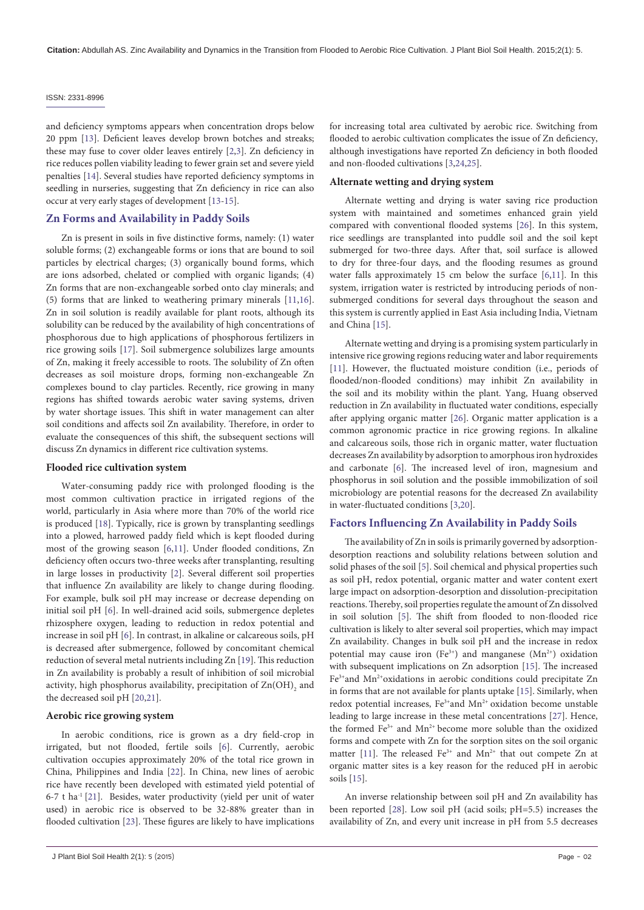and deficiency symptoms appears when concentration drops below 20 ppm [\[13\]](#page-3-12). Deficient leaves develop brown botches and streaks; these may fuse to cover older leaves entirely [\[2](#page-3-1)[,3\]](#page-3-2). Zn deficiency in rice reduces pollen viability leading to fewer grain set and severe yield penalties [\[14\]](#page-3-13). Several studies have reported deficiency symptoms in seedling in nurseries, suggesting that Zn deficiency in rice can also occur at very early stages of development [[13](#page-3-12)[-15](#page-3-14)].

#### **Zn Forms and Availability in Paddy Soils**

Zn is present in soils in five distinctive forms, namely: (1) water soluble forms; (2) exchangeable forms or ions that are bound to soil particles by electrical charges; (3) organically bound forms, which are ions adsorbed, chelated or complied with organic ligands; (4) Zn forms that are non-exchangeable sorbed onto clay minerals; and (5) forms that are linked to weathering primary minerals [\[11,](#page-3-10)[16](#page-4-0)]. Zn in soil solution is readily available for plant roots, although its solubility can be reduced by the availability of high concentrations of phosphorous due to high applications of phosphorous fertilizers in rice growing soils [[17](#page-4-1)]. Soil submergence solubilizes large amounts of Zn, making it freely accessible to roots. The solubility of Zn often decreases as soil moisture drops, forming non-exchangeable Zn complexes bound to clay particles. Recently, rice growing in many regions has shifted towards aerobic water saving systems, driven by water shortage issues. This shift in water management can alter soil conditions and affects soil Zn availability. Therefore, in order to evaluate the consequences of this shift, the subsequent sections will discuss Zn dynamics in different rice cultivation systems.

#### **Flooded rice cultivation system**

Water-consuming paddy rice with prolonged flooding is the most common cultivation practice in irrigated regions of the world, particularly in Asia where more than 70% of the world rice is produced [\[18\]](#page-4-2). Typically, rice is grown by transplanting seedlings into a plowed, harrowed paddy field which is kept flooded during most of the growing season [\[6,](#page-3-5)[11](#page-3-10)]. Under flooded conditions, Zn deficiency often occurs two-three weeks after transplanting, resulting in large losses in productivity [[2](#page-3-1)]. Several different soil properties that influence Zn availability are likely to change during flooding. For example, bulk soil pH may increase or decrease depending on initial soil pH [[6](#page-3-5)]. In well-drained acid soils, submergence depletes rhizosphere oxygen, leading to reduction in redox potential and increase in soil pH [[6](#page-3-5)]. In contrast, in alkaline or calcareous soils, pH is decreased after submergence, followed by concomitant chemical reduction of several metal nutrients including Zn [[19](#page-4-3)]. This reduction in Zn availability is probably a result of inhibition of soil microbial activity, high phosphorus availability, precipitation of  $\mathrm{Zn(OH)}_{2}$  and the decreased soil pH [[20](#page-4-4)[,21](#page-4-5)].

#### **Aerobic rice growing system**

In aerobic conditions, rice is grown as a dry field-crop in irrigated, but not flooded, fertile soils [\[6\]](#page-3-5). Currently, aerobic cultivation occupies approximately 20% of the total rice grown in China, Philippines and India [[22](#page-4-6)]. In China, new lines of aerobic rice have recently been developed with estimated yield potential of 6-7 t ha<sup>-1</sup> [\[21\]](#page-4-5). Besides, water productivity (yield per unit of water used) in aerobic rice is observed to be 32-88% greater than in flooded cultivation [\[23\]](#page-4-7). These figures are likely to have implications for increasing total area cultivated by aerobic rice. Switching from flooded to aerobic cultivation complicates the issue of Zn deficiency, although investigations have reported Zn deficiency in both flooded and non-flooded cultivations [[3,](#page-3-2)[24,](#page-4-8)[25](#page-4-9)].

#### **Alternate wetting and drying system**

Alternate wetting and drying is water saving rice production system with maintained and sometimes enhanced grain yield compared with conventional flooded systems [\[26](#page-4-10)]. In this system, rice seedlings are transplanted into puddle soil and the soil kept submerged for two-three days. After that, soil surface is allowed to dry for three-four days, and the flooding resumes as ground water falls approximately 15 cm below the surface [[6,](#page-3-5)[11\]](#page-3-10). In this system, irrigation water is restricted by introducing periods of nonsubmerged conditions for several days throughout the season and this system is currently applied in East Asia including India, Vietnam and China [[15](#page-3-14)].

Alternate wetting and drying is a promising system particularly in intensive rice growing regions reducing water and labor requirements [[11](#page-3-10)]. However, the fluctuated moisture condition (i.e., periods of flooded/non-flooded conditions) may inhibit Zn availability in the soil and its mobility within the plant. Yang, Huang observed reduction in Zn availability in fluctuated water conditions, especially after applying organic matter [\[26](#page-4-10)]. Organic matter application is a common agronomic practice in rice growing regions. In alkaline and calcareous soils, those rich in organic matter, water fluctuation decreases Zn availability by adsorption to amorphous iron hydroxides and carbonate [\[6\]](#page-3-5). The increased level of iron, magnesium and phosphorus in soil solution and the possible immobilization of soil microbiology are potential reasons for the decreased Zn availability in water-fluctuated conditions [\[3](#page-3-2),[20](#page-4-4)].

#### **Factors Influencing Zn Availability in Paddy Soils**

The availability of Zn in soils is primarily governed by adsorptiondesorption reactions and solubility relations between solution and solid phases of the soil [[5\]](#page-3-4). Soil chemical and physical properties such as soil pH, redox potential, organic matter and water content exert large impact on adsorption-desorption and dissolution-precipitation reactions. Thereby, soil properties regulate the amount of Zn dissolved in soil solution [\[5](#page-3-4)]. The shift from flooded to non-flooded rice cultivation is likely to alter several soil properties, which may impact Zn availability. Changes in bulk soil pH and the increase in redox potential may cause iron (Fe<sup>3+</sup>) and manganese (Mn<sup>2+</sup>) oxidation with subsequent implications on Zn adsorption [[15](#page-3-14)]. The increased Fe<sup>3+</sup>and Mn<sup>2+</sup>oxidations in aerobic conditions could precipitate Zn in forms that are not available for plants uptake [[15](#page-3-14)]. Similarly, when redox potential increases, Fe<sup>3+</sup>and Mn<sup>2+</sup> oxidation become unstable leading to large increase in these metal concentrations [[27](#page-4-11)]. Hence, the formed Fe<sup>3+</sup> and Mn<sup>2+</sup> become more soluble than the oxidized forms and compete with Zn for the sorption sites on the soil organic matter [[11](#page-3-10)]. The released Fe<sup>3+</sup> and  $Mn^{2+}$  that out compete Zn at organic matter sites is a key reason for the reduced pH in aerobic soils [[15](#page-3-14)].

An inverse relationship between soil pH and Zn availability has been reported [[28](#page-4-12)]. Low soil pH (acid soils; pH=5.5) increases the availability of Zn, and every unit increase in pH from 5.5 decreases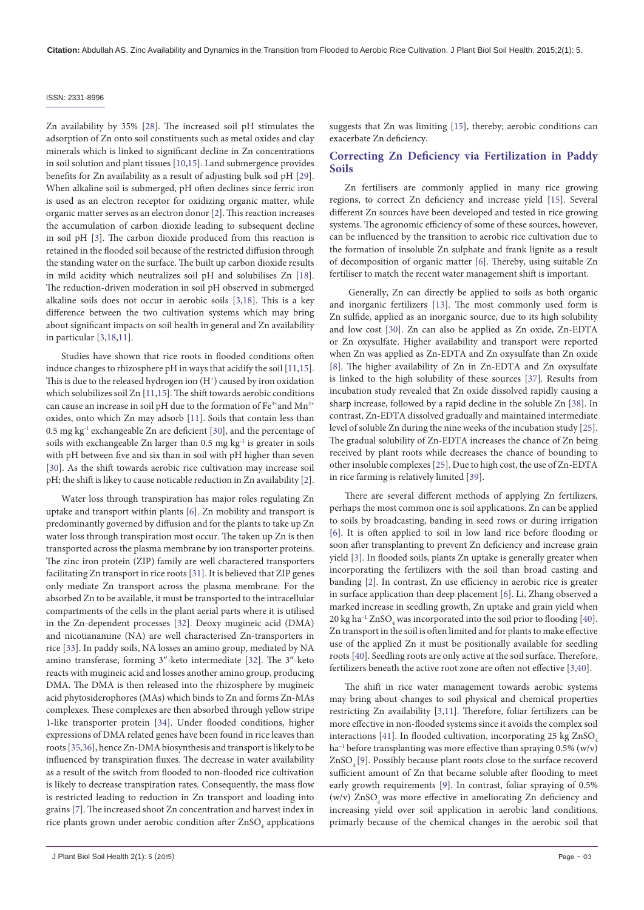Zn availability by 35% [\[28](#page-4-12)]. The increased soil pH stimulates the adsorption of Zn onto soil constituents such as metal oxides and clay minerals which is linked to significant decline in Zn concentrations in soil solution and plant tissues [[10](#page-3-9),[15](#page-3-14)]. Land submergence provides benefits for Zn availability as a result of adjusting bulk soil pH [[29](#page-4-13)]. When alkaline soil is submerged, pH often declines since ferric iron is used as an electron receptor for oxidizing organic matter, while organic matter serves as an electron donor [\[2\]](#page-3-1). This reaction increases the accumulation of carbon dioxide leading to subsequent decline in soil pH [\[3\]](#page-3-2). The carbon dioxide produced from this reaction is retained in the flooded soil because of the restricted diffusion through the standing water on the surface. The built up carbon dioxide results in mild acidity which neutralizes soil pH and solubilises Zn [[18](#page-4-2)]. The reduction-driven moderation in soil pH observed in submerged alkaline soils does not occur in aerobic soils [\[3](#page-3-2)[,18](#page-4-2)]. This is a key difference between the two cultivation systems which may bring about significant impacts on soil health in general and Zn availability in particular [\[3,](#page-3-2)[18](#page-4-2)[,11](#page-3-10)].

Studies have shown that rice roots in flooded conditions often induce changes to rhizosphere pH in ways that acidify the soil [\[11,](#page-3-10)[15](#page-3-14)]. This is due to the released hydrogen ion  $(H<sup>+</sup>)$  caused by iron oxidation which solubilizes soil Zn [[11](#page-3-10)[,15](#page-3-14)]. The shift towards aerobic conditions can cause an increase in soil pH due to the formation of  $Fe^{3+}$  and  $Mn^{2+}$ oxides, onto which Zn may adsorb [[11\]](#page-3-10). Soils that contain less than 0.5 mg kg-1 exchangeable Zn are deficient [[30](#page-4-14)], and the percentage of soils with exchangeable Zn larger than 0.5 mg kg<sup>-1</sup> is greater in soils with pH between five and six than in soil with pH higher than seven [[30](#page-4-14)]. As the shift towards aerobic rice cultivation may increase soil pH; the shift is likey to cause noticable reduction in Zn availability [\[2](#page-3-1)].

Water loss through transpiration has major roles regulating Zn uptake and transport within plants [[6](#page-3-5)]. Zn mobility and transport is predominantly governed by diffusion and for the plants to take up Zn water loss through transpiration most occur. The taken up Zn is then transported across the plasma membrane by ion transporter proteins. The zinc iron protein (ZIP) family are well charactered transporters facilitating Zn transport in rice roots [[31](#page-4-15)]. It is believed that ZIP genes only mediate Zn transport across the plasma membrane. For the absorbed Zn to be available, it must be transported to the intracellular compartments of the cells in the plant aerial parts where it is utilised in the Zn-dependent processes [[32\]](#page-4-16). Deoxy mugineic acid (DMA) and nicotianamine (NA) are well characterised Zn-transporters in rice [\[33\]](#page-4-17). In paddy soils, NA losses an amino group, mediated by NA amino transferase, forming 3″-keto intermediate [[32](#page-4-16)]. The 3″-keto reacts with mugineic acid and losses another amino group, producing DMA. The DMA is then released into the rhizosphere by mugineic acid phytosiderophores (MAs) which binds to Zn and forms Zn-MAs complexes. These complexes are then absorbed through yellow stripe 1-like transporter protein [[34](#page-4-18)]. Under flooded conditions, higher expressions of DMA related genes have been found in rice leaves than roots [[35](#page-4-19)[,36\]](#page-4-20), hence Zn-DMA biosynthesis and transport is likely to be influenced by transpiration fluxes. The decrease in water availability as a result of the switch from flooded to non-flooded rice cultivation is likely to decrease transpiration rates. Consequently, the mass flow is restricted leading to reduction in Zn transport and loading into grains [[7\]](#page-3-6). The increased shoot Zn concentration and harvest index in rice plants grown under aerobic condition after  $\mathrm{ZnSO}_{_4}$  applications

J Plant Biol Soil Health 2(1): 5 (2015) Page - 03

suggests that Zn was limiting [[15](#page-3-14)], thereby; aerobic conditions can exacerbate Zn deficiency.

#### **Correcting Zn Deficiency via Fertilization in Paddy Soils**

Zn fertilisers are commonly applied in many rice growing regions, to correct Zn deficiency and increase yield [\[15\]](#page-3-14). Several different Zn sources have been developed and tested in rice growing systems. The agronomic efficiency of some of these sources, however, can be influenced by the transition to aerobic rice cultivation due to the formation of insoluble Zn sulphate and frank lignite as a result of decomposition of organic matter [\[6\]](#page-3-5). Thereby, using suitable Zn fertiliser to match the recent water management shift is important.

 Generally, Zn can directly be applied to soils as both organic and inorganic fertilizers [[13](#page-3-12)]. The most commonly used form is Zn sulfide, applied as an inorganic source, due to its high solubility and low cost [\[30\]](#page-4-14). Zn can also be applied as Zn oxide, Zn-EDTA or Zn oxysulfate. Higher availability and transport were reported when Zn was applied as Zn-EDTA and Zn oxysulfate than Zn oxide [[8](#page-3-7)]. The higher availability of Zn in Zn-EDTA and Zn oxysulfate is linked to the high solubility of these sources [\[37\]](#page-4-21). Results from incubation study revealed that Zn oxide dissolved rapidly causing a sharp increase, followed by a rapid decline in the soluble Zn [[38](#page-4-22)]. In contrast, Zn-EDTA dissolved gradually and maintained intermediate level of soluble Zn during the nine weeks of the incubation study [[25\]](#page-4-9). The gradual solubility of Zn-EDTA increases the chance of Zn being received by plant roots while decreases the chance of bounding to other insoluble complexes [[25\]](#page-4-9). Due to high cost, the use of Zn-EDTA in rice farming is relatively limited [\[39\]](#page-4-23).

There are several different methods of applying Zn fertilizers, perhaps the most common one is soil applications. Zn can be applied to soils by broadcasting, banding in seed rows or during irrigation [[6](#page-3-5)]. It is often applied to soil in low land rice before flooding or soon after transplanting to prevent Zn deficiency and increase grain yield [\[3\]](#page-3-2). In flooded soils, plants Zn uptake is generally greater when incorporating the fertilizers with the soil than broad casting and banding [\[2\]](#page-3-1). In contrast, Zn use efficiency in aerobic rice is greater in surface application than deep placement [[6\]](#page-3-5). Li, Zhang observed a marked increase in seedling growth, Zn uptake and grain yield when  $20 \text{ kg} \text{ ha}^{-1} \text{ ZnSO}_4$  was incorporated into the soil prior to flooding [[40\]](#page-4-24). Zn transport in the soil is often limited and for plants to make effective use of the applied Zn it must be positionally available for seedling roots [\[40\]](#page-4-24). Seedling roots are only active at the soil surface. Therefore, fertilizers beneath the active root zone are often not effective [\[3](#page-3-2)[,40](#page-4-24)].

The shift in rice water management towards aerobic systems may bring about changes to soil physical and chemical properties restricting Zn availability [[3,](#page-3-2)[11\]](#page-3-10). Therefore, foliar fertilizers can be more effective in non-flooded systems since it avoids the complex soil interactions [\[41](#page-4-25)]. In flooded cultivation, incorporating 25 kg  $ZnSO<sub>4</sub>$  $ha^{-1}$  before transplanting was more effective than spraying  $0.5\%$  (w/v) ZnSO<sub>4</sub>[\[9](#page-3-8)]. Possibly because plant roots close to the surface recoverd sufficient amount of Zn that became soluble after flooding to meet early growth requirements [\[9\]](#page-3-8). In contrast, foliar spraying of 0.5% (w/v)  $ZnSO<sub>4</sub>$  was more effective in ameliorating  $Zn$  deficiency and increasing yield over soil application in aerobic land conditions, primarly because of the chemical changes in the aerobic soil that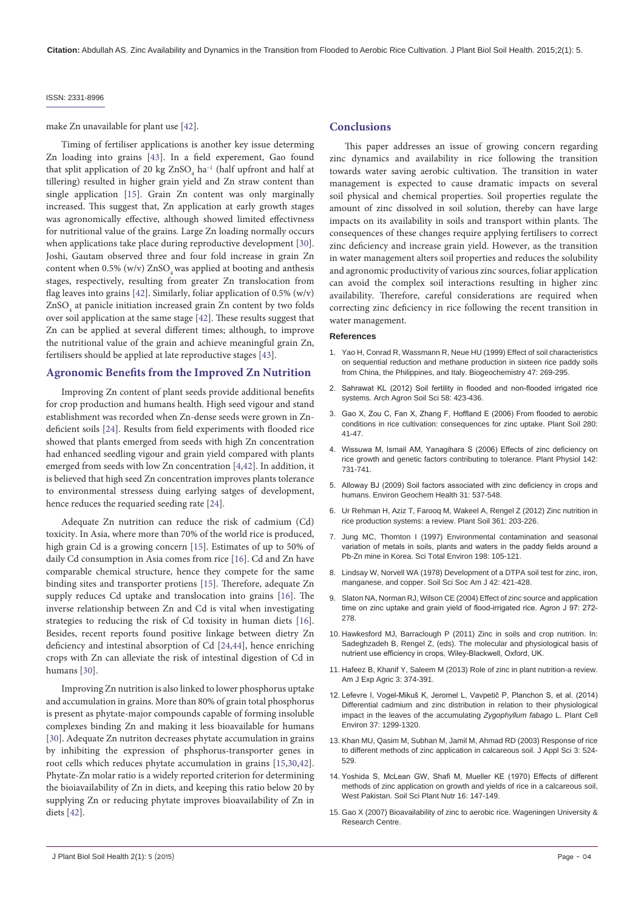#### make Zn unavailable for plant use [\[42\]](#page-4-26).

Timing of fertiliser applications is another key issue determing Zn loading into grains [\[43\]](#page-4-27). In a field experement, Gao found that split application of 20 kg  $\rm ZnSO_{4}$  ha<sup>-1</sup> (half upfront and half at tillering) resulted in higher grain yield and Zn straw content than single application [[15](#page-3-14)]. Grain Zn content was only marginally increased. This suggest that, Zn application at early growth stages was agronomically effective, although showed limited effectivness for nutritional value of the grains. Large Zn loading normally occurs when applications take place during reproductive development [[30](#page-4-14)]. Joshi, Gautam observed three and four fold increase in grain Zn content when  $0.5\%$  (w/v)  $ZnSO<sub>4</sub>$  was applied at booting and anthesis stages, respectively, resulting from greater Zn translocation from flag leaves into grains [\[42\]](#page-4-26). Similarly, foliar application of 0.5% (w/v) ZnSO4 at panicle initiation increased grain Zn content by two folds over soil application at the same stage [[42](#page-4-26)]. These results suggest that Zn can be applied at several different times; although, to improve the nutritional value of the grain and achieve meaningful grain Zn, fertilisers should be applied at late reproductive stages [\[43\]](#page-4-27).

#### **Agronomic Benefits from the Improved Zn Nutrition**

Improving Zn content of plant seeds provide additional benefits for crop production and humans health. High seed vigour and stand establishment was recorded when Zn-dense seeds were grown in Zndeficient soils [[24](#page-4-8)]. Results from field experiments with flooded rice showed that plants emerged from seeds with high Zn concentration had enhanced seedling vigour and grain yield compared with plants emerged from seeds with low Zn concentration [\[4,](#page-3-3)[42](#page-4-26)]. In addition, it is believed that high seed Zn concentration improves plants tolerance to environmental stressess duing earlying satges of development, hence reduces the requaried seeding rate [\[24\]](#page-4-8).

Adequate Zn nutrition can reduce the risk of cadmium (Cd) toxicity. In Asia, where more than 70% of the world rice is produced, high grain Cd is a growing concern [\[15\]](#page-3-14). Estimates of up to 50% of daily Cd consumption in Asia comes from rice [[16](#page-4-0)]. Cd and Zn have comparable chemical structure, hence they compete for the same binding sites and transporter protiens [\[15\]](#page-3-14). Therefore, adequate Zn supply reduces Cd uptake and translocation into grains [[16](#page-4-0)]. The inverse relationship between Zn and Cd is vital when investigating strategies to reducing the risk of Cd toxisity in human diets [[16](#page-4-0)]. Besides, recent reports found positive linkage between dietry Zn deficiency and intestinal absorption of Cd [\[24,](#page-4-8)[44\]](#page-4-28), hence enriching crops with Zn can alleviate the risk of intestinal digestion of Cd in humans [[30](#page-4-14)].

Improving Zn nutrition is also linked to lower phosphorus uptake and accumulation in grains. More than 80% of grain total phosphorus is present as phytate-major compounds capable of forming insoluble complexes binding Zn and making it less bioavailable for humans [[30](#page-4-14)]. Adequate Zn nutriton decreases phytate accumulation in grains by inhibiting the expression of phsphorus-transporter genes in root cells which reduces phytate accumulation in grains [\[15](#page-3-14)[,30,](#page-4-14)[42](#page-4-26)]. Phytate-Zn molar ratio is a widely reported criterion for determining the bioiavailability of Zn in diets, and keeping this ratio below 20 by supplying Zn or reducing phytate improves bioavailability of Zn in diets [[42](#page-4-26)].

### **Conclusions**

This paper addresses an issue of growing concern regarding zinc dynamics and availability in rice following the transition towards water saving aerobic cultivation. The transition in water management is expected to cause dramatic impacts on several soil physical and chemical properties. Soil properties regulate the amount of zinc dissolved in soil solution, thereby can have large impacts on its availability in soils and transport within plants. The consequences of these changes require applying fertilisers to correct zinc deficiency and increase grain yield. However, as the transition in water management alters soil properties and reduces the solubility and agronomic productivity of various zinc sources, foliar application can avoid the complex soil interactions resulting in higher zinc availability. Therefore, careful considerations are required when correcting zinc deficiency in rice following the recent transition in water management.

#### **References**

- <span id="page-3-0"></span>1. [Yao H, Conrad R, Wassmann R, Neue HU \(1999\) Effect of soil characteristics](http://link.springer.com/article/10.1007%2FBF00992910)  [on sequential reduction and methane production in sixteen rice paddy soils](http://link.springer.com/article/10.1007%2FBF00992910)  [from China, the Philippines, and Italy. Biogeochemistry 47: 269-295.](http://link.springer.com/article/10.1007%2FBF00992910)
- <span id="page-3-1"></span>2. Sahrawat KL (2012) Soil fertility in flooded and [non-flooded](http://www.tandfonline.com/doi/abs/10.1080/03650340.2010.522993#.VeQ-kSWqqko) irrigated rice [systems. Arch Agron Soil Sci 58: 423-436.](http://www.tandfonline.com/doi/abs/10.1080/03650340.2010.522993#.VeQ-kSWqqko)
- <span id="page-3-2"></span>3. Gao X, Zou C, Fan X, Zhang F, [Hoffland](http://link.springer.com/article/10.1007%2Fs11104-004-7652-0) E (2006) From flooded to aerobic [conditions in rice cultivation: consequences for zinc uptake. Plant Soil 280:](http://link.springer.com/article/10.1007%2Fs11104-004-7652-0)  [41-47.](http://link.springer.com/article/10.1007%2Fs11104-004-7652-0)
- <span id="page-3-3"></span>4. Wissuwa M, Ismail AM, [Yanagihara](http://www.ncbi.nlm.nih.gov/pmc/articles/PMC1586055/) S (2006) Effects of zinc deficiency on [rice growth and genetic factors contributing to tolerance. Plant Physiol 142:](http://www.ncbi.nlm.nih.gov/pmc/articles/PMC1586055/)  [731-741.](http://www.ncbi.nlm.nih.gov/pmc/articles/PMC1586055/)
- <span id="page-3-4"></span>5. Alloway BJ (2009) Soil factors [associated](http://www.ncbi.nlm.nih.gov/pubmed/19291414) with zinc deficiency in crops and [humans. Environ Geochem Health 31: 537-548.](http://www.ncbi.nlm.nih.gov/pubmed/19291414)
- <span id="page-3-5"></span>6. [Ur Rehman H, Aziz T, Farooq M, Wakeel A, Rengel Z \(2012\) Zinc nutrition in](http://link.springer.com/article/10.1007%2Fs11104-012-1346-9)  [rice production systems: a review. Plant Soil 361: 203-226.](http://link.springer.com/article/10.1007%2Fs11104-012-1346-9)
- <span id="page-3-6"></span>7. [Jung MC, Thornton I \(1997\) Environmental contamination and seasonal](http://www.ncbi.nlm.nih.gov/pubmed/9167264)  [variation](http://www.ncbi.nlm.nih.gov/pubmed/9167264) of metals in soils, plants and waters in the paddy fields around a [Pb-Zn mine in Korea. Sci Total Environ 198: 105-121.](http://www.ncbi.nlm.nih.gov/pubmed/9167264)
- <span id="page-3-7"></span>8. [Lindsay W, Norvell WA \(1978\) Development of a DTPA soil test for zinc, iron,](https://dl.sciencesocieties.org/publications/sssaj/abstracts/42/3/SS0420030421)  [manganese, and copper. Soil Sci Soc Am J 42: 421-428.](https://dl.sciencesocieties.org/publications/sssaj/abstracts/42/3/SS0420030421)
- <span id="page-3-8"></span>9. [Slaton NA, Norman RJ, Wilson CE \(2004\) Effect of zinc source and application](https://dl.sciencesocieties.org/publications/aj/abstracts/97/1/0272)  time on zinc uptake and grain yield of [flood-irrigated](https://dl.sciencesocieties.org/publications/aj/abstracts/97/1/0272) rice. Agron J 97: 272- [278.](https://dl.sciencesocieties.org/publications/aj/abstracts/97/1/0272)
- <span id="page-3-9"></span>10. [Hawkesford MJ, Barraclough P \(2011\) Zinc in soils and crop nutrition. In:](http://onlinelibrary.wiley.com/doi/10.1002/9780470960707.ch16/summary)  [Sadeghzadeh B, Rengel Z, \(eds\). The molecular and physiological basis of](http://onlinelibrary.wiley.com/doi/10.1002/9780470960707.ch16/summary)  nutrient use efficiency in crops, [Wiley-Blackwell,](http://onlinelibrary.wiley.com/doi/10.1002/9780470960707.ch16/summary) Oxford, UK.
- <span id="page-3-10"></span>11. [Hafeez B, Khanif Y, Saleem M \(2013\) Role of zinc in plant nutrition-a review.](https://zenodo.org/record/8225/files/1363870284-Hafeez322012AJEA2746.pdf)  [Am J Exp Agric 3: 374-391.](https://zenodo.org/record/8225/files/1363870284-Hafeez322012AJEA2746.pdf)
- <span id="page-3-11"></span>12. Lefevre I, [Vogel-Mikuš](http://onlinelibrary.wiley.com/doi/10.1111/pce.12234/suppinfo) K, Jeromel L, Vavpetič P, Planchon S, et al. (2014) [Differential cadmium and zinc distribution in relation to their physiological](http://onlinelibrary.wiley.com/doi/10.1111/pce.12234/suppinfo)  [impact in the leaves of the accumulating](http://onlinelibrary.wiley.com/doi/10.1111/pce.12234/suppinfo) *Zygophyllum fabago* L. Plant Cell [Environ 37: 1299-1320.](http://onlinelibrary.wiley.com/doi/10.1111/pce.12234/suppinfo)
- <span id="page-3-12"></span>13. [Khan MU, Qasim M, Subhan M, Jamil M, Ahmad RD \(2003\) Response of rice](http://scialert.net/fulltext/?doi=jas.2003.524.529&org=11)  [to different methods of zinc application in calcareous soil. J Appl Sci 3: 524-](http://scialert.net/fulltext/?doi=jas.2003.524.529&org=11) [529.](http://scialert.net/fulltext/?doi=jas.2003.524.529&org=11)
- <span id="page-3-13"></span>14. [Yoshida](http://www.tandfonline.com/doi/abs/10.1080/00380768.1970.10432832#.VeV7FCWqqko) S, McLean GW, Shafi M, Mueller KE (1970) Effects of different [methods of zinc application on growth and yields of rice in a calcareous soil,](http://www.tandfonline.com/doi/abs/10.1080/00380768.1970.10432832#.VeV7FCWqqko)  [West Pakistan. Soil Sci Plant Nutr 16: 147-149.](http://www.tandfonline.com/doi/abs/10.1080/00380768.1970.10432832#.VeV7FCWqqko)
- <span id="page-3-14"></span>15. [Gao X \(2007\) Bioavailability of zinc to aerobic rice. Wageningen University &](http://www.narcis.nl/publication/RecordID/oai:library.wur.nl:wurpubs%2F355132)  [Research Centre.](http://www.narcis.nl/publication/RecordID/oai:library.wur.nl:wurpubs%2F355132)